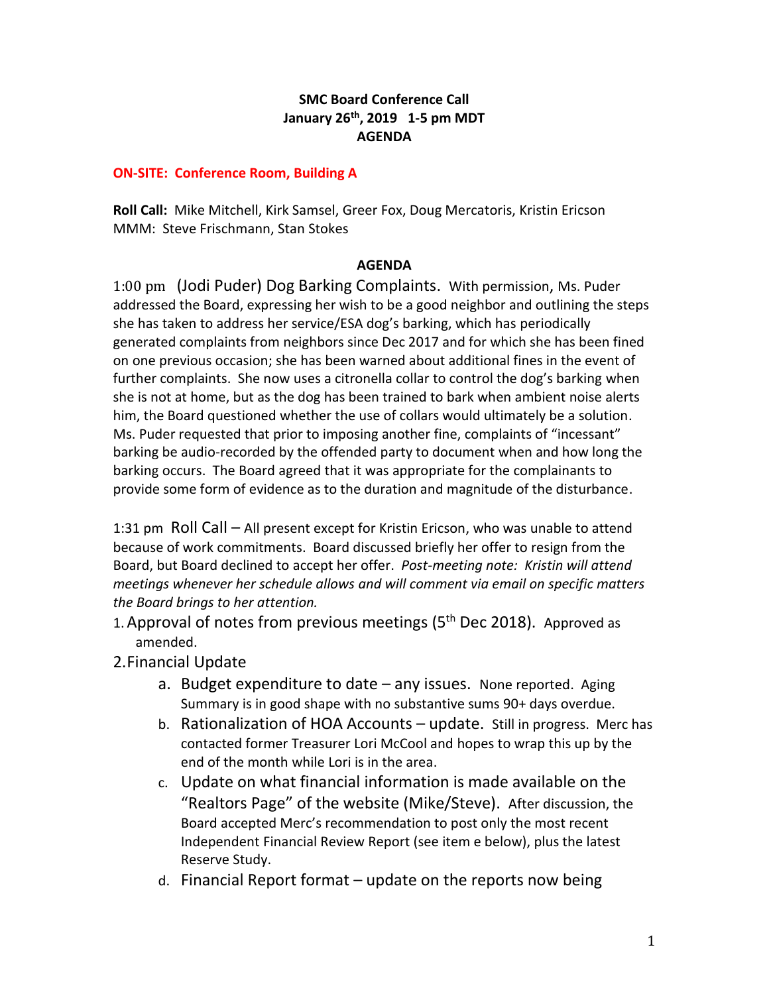## **SMC Board Conference Call January 26th, 2019 1-5 pm MDT AGENDA**

## **ON-SITE: Conference Room, Building A**

**Roll Call:** Mike Mitchell, Kirk Samsel, Greer Fox, Doug Mercatoris, Kristin Ericson MMM: Steve Frischmann, Stan Stokes

## **AGENDA**

1:00 pm (Jodi Puder) Dog Barking Complaints. With permission, Ms. Puder addressed the Board, expressing her wish to be a good neighbor and outlining the steps she has taken to address her service/ESA dog's barking, which has periodically generated complaints from neighbors since Dec 2017 and for which she has been fined on one previous occasion; she has been warned about additional fines in the event of further complaints. She now uses a citronella collar to control the dog's barking when she is not at home, but as the dog has been trained to bark when ambient noise alerts him, the Board questioned whether the use of collars would ultimately be a solution. Ms. Puder requested that prior to imposing another fine, complaints of "incessant" barking be audio-recorded by the offended party to document when and how long the barking occurs. The Board agreed that it was appropriate for the complainants to provide some form of evidence as to the duration and magnitude of the disturbance.

1:31 pm Roll Call – All present except for Kristin Ericson, who was unable to attend because of work commitments. Board discussed briefly her offer to resign from the Board, but Board declined to accept her offer. *Post-meeting note: Kristin will attend meetings whenever her schedule allows and will comment via email on specific matters the Board brings to her attention.*

- 1. Approval of notes from previous meetings (5<sup>th</sup> Dec 2018). Approved as amended.
- 2.Financial Update
	- a. Budget expenditure to date any issues. None reported. Aging Summary is in good shape with no substantive sums 90+ days overdue.
	- b. Rationalization of HOA Accounts update. Still in progress. Merc has contacted former Treasurer Lori McCool and hopes to wrap this up by the end of the month while Lori is in the area.
	- c. Update on what financial information is made available on the "Realtors Page" of the website (Mike/Steve). After discussion, the Board accepted Merc's recommendation to post only the most recent Independent Financial Review Report (see item e below), plus the latest Reserve Study.
	- d. Financial Report format update on the reports now being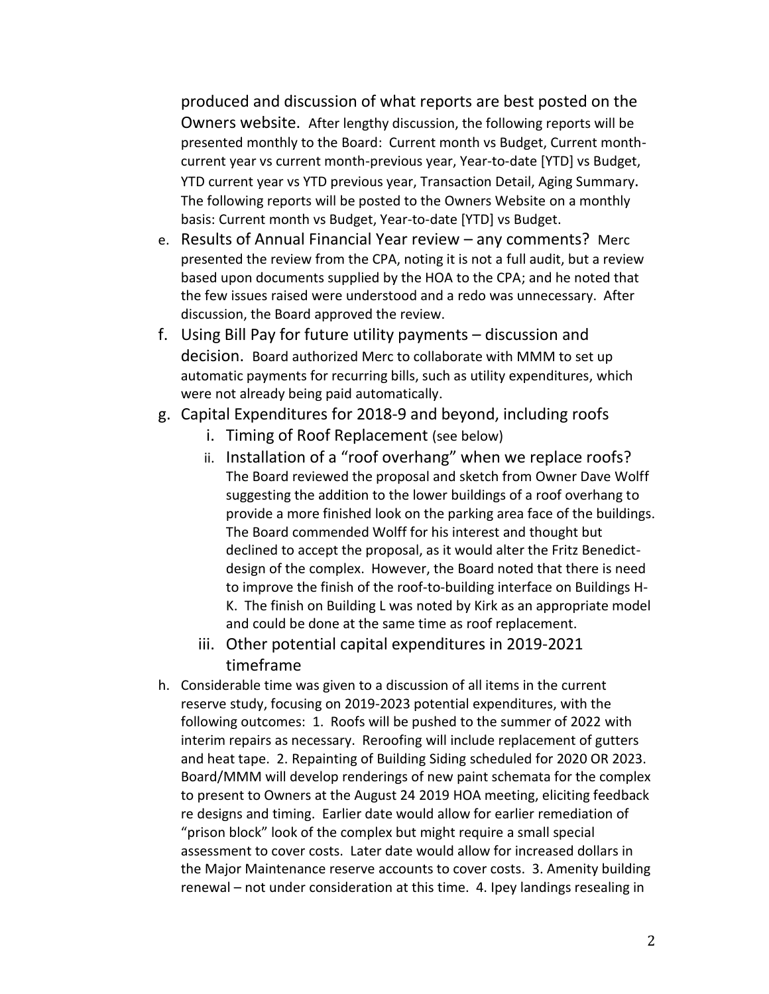produced and discussion of what reports are best posted on the Owners website. After lengthy discussion, the following reports will be presented monthly to the Board: Current month vs Budget, Current monthcurrent year vs current month-previous year, Year-to-date [YTD] vs Budget, YTD current year vs YTD previous year, Transaction Detail, Aging Summary. The following reports will be posted to the Owners Website on a monthly basis: Current month vs Budget, Year-to-date [YTD] vs Budget.

- e. Results of Annual Financial Year review any comments? Merc presented the review from the CPA, noting it is not a full audit, but a review based upon documents supplied by the HOA to the CPA; and he noted that the few issues raised were understood and a redo was unnecessary. After discussion, the Board approved the review.
- f. Using Bill Pay for future utility payments discussion and decision. Board authorized Merc to collaborate with MMM to set up automatic payments for recurring bills, such as utility expenditures, which were not already being paid automatically.
- g. Capital Expenditures for 2018-9 and beyond, including roofs
	- i. Timing of Roof Replacement (see below)
	- ii. Installation of a "roof overhang" when we replace roofs? The Board reviewed the proposal and sketch from Owner Dave Wolff suggesting the addition to the lower buildings of a roof overhang to provide a more finished look on the parking area face of the buildings. The Board commended Wolff for his interest and thought but declined to accept the proposal, as it would alter the Fritz Benedictdesign of the complex. However, the Board noted that there is need to improve the finish of the roof-to-building interface on Buildings H-K. The finish on Building L was noted by Kirk as an appropriate model and could be done at the same time as roof replacement.
	- iii. Other potential capital expenditures in 2019-2021 timeframe
- h. Considerable time was given to a discussion of all items in the current reserve study, focusing on 2019-2023 potential expenditures, with the following outcomes: 1. Roofs will be pushed to the summer of 2022 with interim repairs as necessary. Reroofing will include replacement of gutters and heat tape. 2. Repainting of Building Siding scheduled for 2020 OR 2023. Board/MMM will develop renderings of new paint schemata for the complex to present to Owners at the August 24 2019 HOA meeting, eliciting feedback re designs and timing. Earlier date would allow for earlier remediation of "prison block" look of the complex but might require a small special assessment to cover costs. Later date would allow for increased dollars in the Major Maintenance reserve accounts to cover costs. 3. Amenity building renewal – not under consideration at this time. 4. Ipey landings resealing in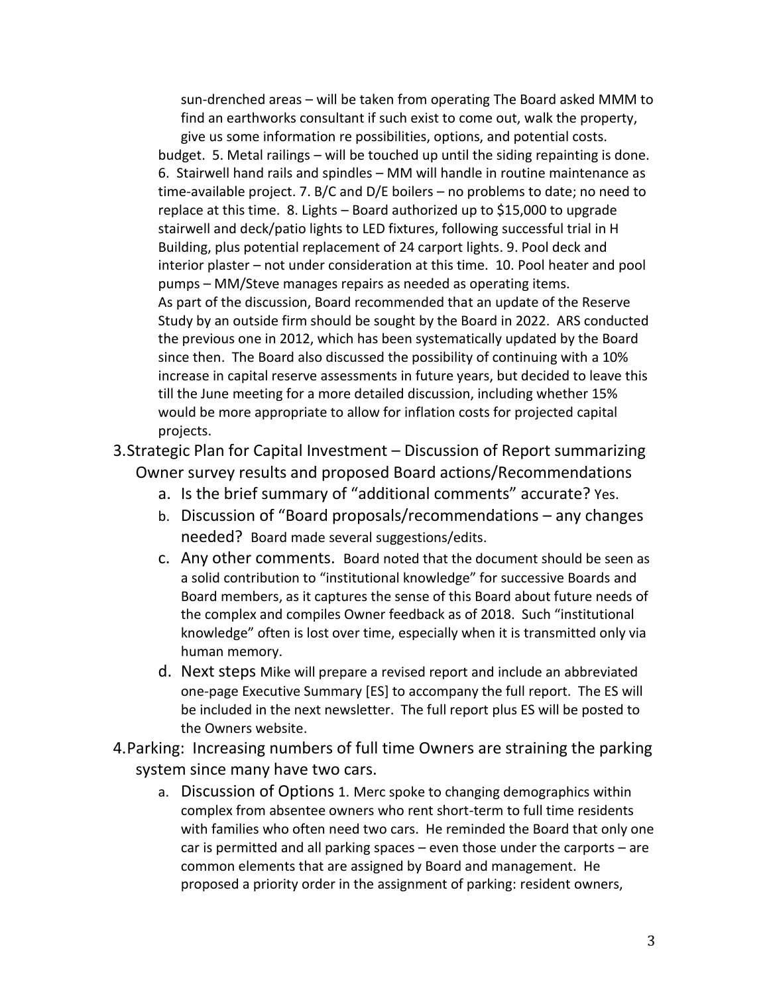sun-drenched areas – will be taken from operating The Board asked MMM to find an earthworks consultant if such exist to come out, walk the property, give us some information re possibilities, options, and potential costs. budget. 5. Metal railings – will be touched up until the siding repainting is done. 6. Stairwell hand rails and spindles – MM will handle in routine maintenance as time-available project. 7. B/C and D/E boilers – no problems to date; no need to replace at this time. 8. Lights – Board authorized up to \$15,000 to upgrade stairwell and deck/patio lights to LED fixtures, following successful trial in H Building, plus potential replacement of 24 carport lights. 9. Pool deck and interior plaster – not under consideration at this time. 10. Pool heater and pool pumps – MM/Steve manages repairs as needed as operating items. As part of the discussion, Board recommended that an update of the Reserve Study by an outside firm should be sought by the Board in 2022. ARS conducted the previous one in 2012, which has been systematically updated by the Board since then. The Board also discussed the possibility of continuing with a 10% increase in capital reserve assessments in future years, but decided to leave this till the June meeting for a more detailed discussion, including whether 15% would be more appropriate to allow for inflation costs for projected capital projects.

3.Strategic Plan for Capital Investment – Discussion of Report summarizing Owner survey results and proposed Board actions/Recommendations

- a. Is the brief summary of "additional comments" accurate? Yes.
- b. Discussion of "Board proposals/recommendations any changes needed? Board made several suggestions/edits.
- c. Any other comments. Board noted that the document should be seen as a solid contribution to "institutional knowledge" for successive Boards and Board members, as it captures the sense of this Board about future needs of the complex and compiles Owner feedback as of 2018. Such "institutional knowledge" often is lost over time, especially when it is transmitted only via human memory.
- d. Next steps Mike will prepare a revised report and include an abbreviated one-page Executive Summary [ES] to accompany the full report. The ES will be included in the next newsletter. The full report plus ES will be posted to the Owners website.
- 4.Parking: Increasing numbers of full time Owners are straining the parking system since many have two cars.
	- a. Discussion of Options 1. Merc spoke to changing demographics within complex from absentee owners who rent short-term to full time residents with families who often need two cars. He reminded the Board that only one car is permitted and all parking spaces – even those under the carports – are common elements that are assigned by Board and management. He proposed a priority order in the assignment of parking: resident owners,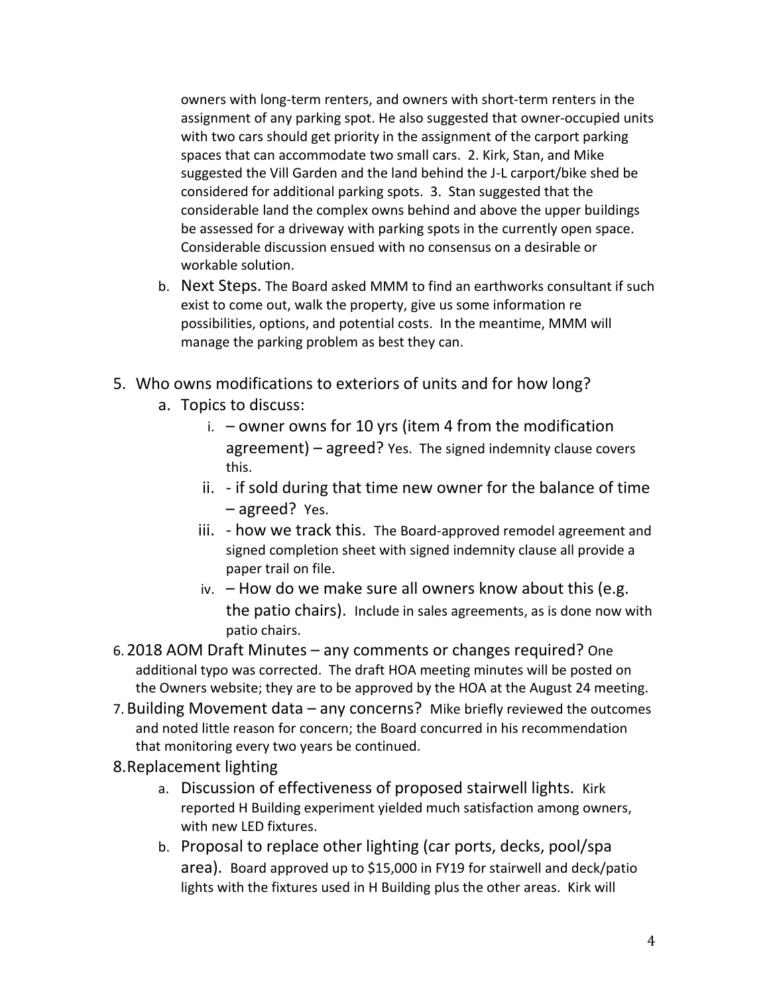owners with long-term renters, and owners with short-term renters in the assignment of any parking spot. He also suggested that owner-occupied units with two cars should get priority in the assignment of the carport parking spaces that can accommodate two small cars. 2. Kirk, Stan, and Mike suggested the Vill Garden and the land behind the J-L carport/bike shed be considered for additional parking spots. 3. Stan suggested that the considerable land the complex owns behind and above the upper buildings be assessed for a driveway with parking spots in the currently open space. Considerable discussion ensued with no consensus on a desirable or workable solution.

- b. Next Steps. The Board asked MMM to find an earthworks consultant if such exist to come out, walk the property, give us some information re possibilities, options, and potential costs. In the meantime, MMM will manage the parking problem as best they can.
- 5. Who owns modifications to exteriors of units and for how long?
	- a. Topics to discuss:
		- i.  $-$  owner owns for 10 yrs (item 4 from the modification agreement) – agreed? Yes. The signed indemnity clause covers this.
		- ii. if sold during that time new owner for the balance of time – agreed? Yes.
		- iii. how we track this. The Board-approved remodel agreement and signed completion sheet with signed indemnity clause all provide a paper trail on file.
		- iv. How do we make sure all owners know about this (e.g. the patio chairs). Include in sales agreements, as is done now with patio chairs.
- 6. 2018 AOM Draft Minutes any comments or changes required? One additional typo was corrected. The draft HOA meeting minutes will be posted on the Owners website; they are to be approved by the HOA at the August 24 meeting.
- 7.Building Movement data any concerns? Mike briefly reviewed the outcomes and noted little reason for concern; the Board concurred in his recommendation that monitoring every two years be continued.
- 8.Replacement lighting
	- a. Discussion of effectiveness of proposed stairwell lights. Kirk reported H Building experiment yielded much satisfaction among owners, with new LED fixtures.
	- b. Proposal to replace other lighting (car ports, decks, pool/spa area). Board approved up to \$15,000 in FY19 for stairwell and deck/patio lights with the fixtures used in H Building plus the other areas. Kirk will